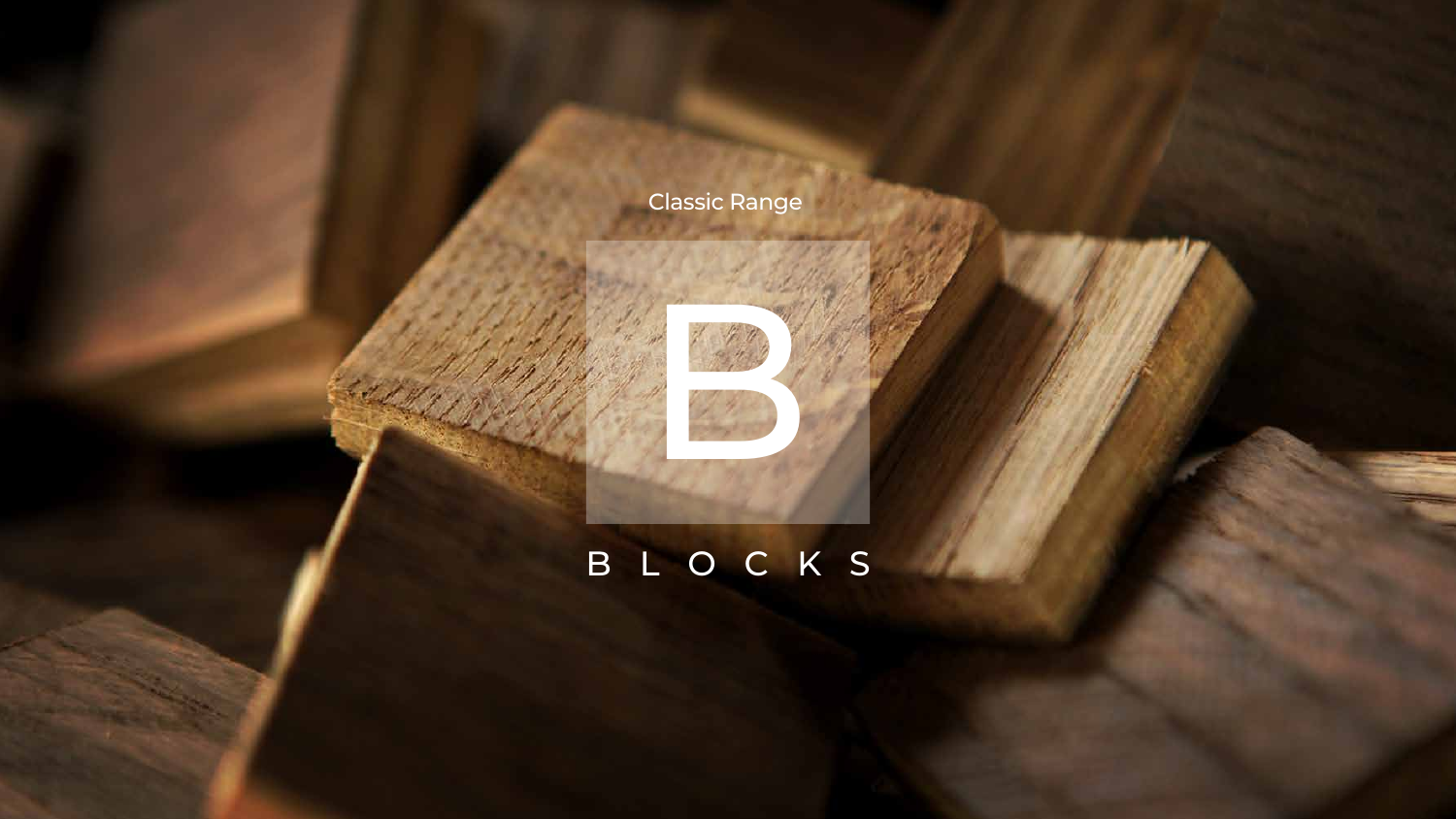

## BLOCKS



## Classic Range